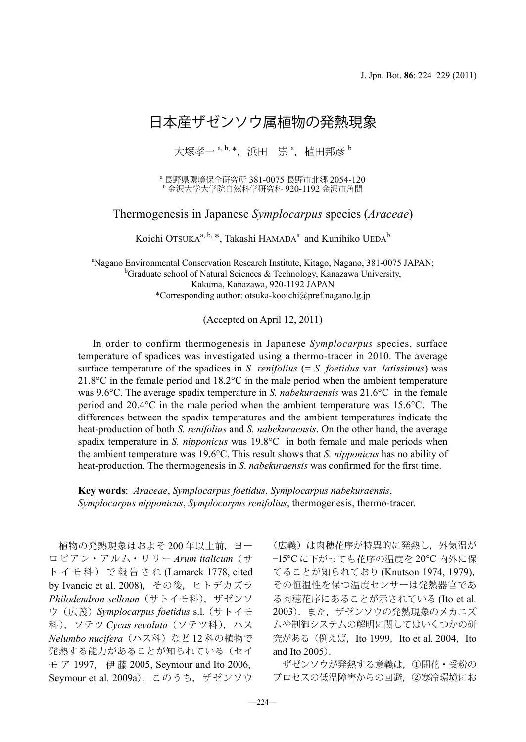## 日本産ザゼンソウ属植物の発熱現象

大塚孝一 <sup>a, b,</sup> \*,浜田 崇 <sup>a</sup>,植田邦彦 <sup>b</sup>

<sup>a</sup>長野県環境保全研究所 381-0075 長野市北郷 2054-120<br><sup>b</sup> 金沢大学大学院自然科学研究科 920-1192 金沢市角間

Thermogenesis in Japanese *Symplocarpus* species (*Araceae*)

Koichi Otsuka<sup>a, b, \*</sup>, Takashi HAMADA<sup>a</sup> and Kunihiko UEDA<sup>b</sup>

<sup>a</sup>Nagano Environmental Conservation Research Institute, Kitago, Nagano, 381-0075 JAPAN;<br><sup>b</sup>Graduate school of Natural Sciences & Technology Kanazawa University  ${}^{\text{b}}$ Graduate school of Natural Sciences & Technology, Kanazawa University, Kakuma, Kanazawa, 920-1192 JAPAN \*Corresponding author: otsuka-kooichi@pref.nagano.lg.jp

(Accepted on April 12, 2011)

In order to confirm thermogenesis in Japanese *Symplocarpus* species, surface temperature of spadices was investigated using a thermo-tracer in 2010. The average surface temperature of the spadices in *S. renifolius* (= *S. foetidus* var. *latissimus*) was 21.8°C in the female period and 18.2°C in the male period when the ambient temperature was 9.6°C. The average spadix temperature in *S. nabekuraensis* was 21.6°C in the female period and 20.4°C in the male period when the ambient temperature was 15.6°C. The differences between the spadix temperatures and the ambient temperatures indicate the heat-production of both *S. renifolius* and *S. nabekuraensis*. On the other hand, the average spadix temperature in *S. nipponicus* was 19.8°C in both female and male periods when the ambient temperature was 19.6°C. This result shows that *S. nipponicus* has no ability of heat-production. The thermogenesis in *S*. *nabekuraensis* was confirmed for the first time.

**Key words**: *Araceae*, *Symplocarpus foetidus*, *Symplocarpus nabekuraensis*, *Symplocarpus nipponicus*, *Symplocarpus renifolius*, thermogenesis, thermo-tracer.

 植物の発熱現象はおよそ 200 年以上前,ヨー ロ ピ ア ン・ ア ル ム・ リ リ ー *Arum italicum*( サ トイモ科)で報告され (Lamarck 1778, cited by Ivancic et al. 2008),その後,ヒトデカズラ *Philodendron selloum*(サトイモ科),ザゼンソ ウ(広義)*Symplocarpus foetidus* s.l*.* (サトイモ 科), ソテツ Cvcas revoluta (ソテツ科), ハス *Nelumbo nucifera*(ハス科)など 12 科の植物で 発熱する能力があることが知られている(セイ モ ア 1997, 伊 藤 2005, Seymour and Ito 2006, Seymour et al*.* 2009a).このうち,ザゼンソウ

(広義)は肉穂花序が特異的に発熱し,外気温が −15°C に下がっても花序の温度を 20°C 内外に保 てることが知られており (Knutson 1974, 1979), その恒温性を保つ温度センサーは発熱器官であ る肉穂花序にあることが示されている (Ito et al*.* 2003).また,ザゼンソウの発熱現象のメカニズ ムや制御システムの解明に関してはいくつかの研 **究がある (例えば, Ito 1999, Ito et al. 2004, Ito** and Ito 2005).

 ザゼンソウが発熱する意義は,①開花・受粉の プロセスの低温障害からの回避,②寒冷環境にお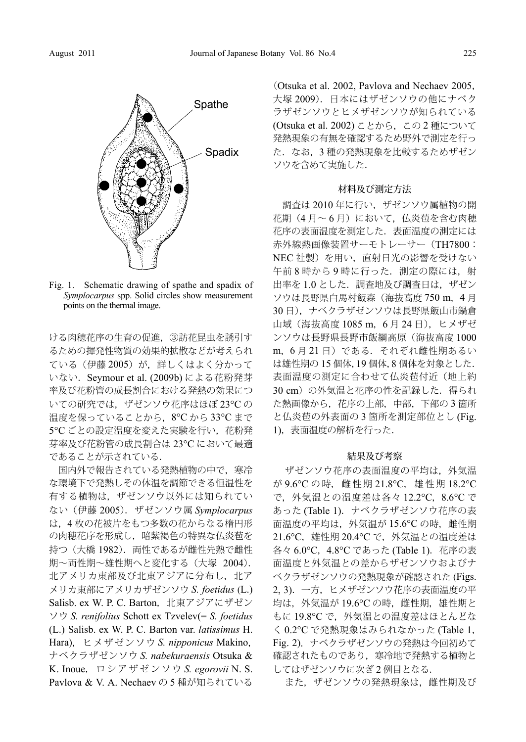

Fig. 1. Schematic drawing of spathe and spadix of *Symplocarpus* spp. Solid circles show measurement points on the thermal image.

ける肉穂花序の生育の促進,③訪花昆虫を誘引す るための揮発性物質の効果的拡散などが考えられ ている(伊藤 2005)が、詳しくはよく分かって いない.Seymour et al. (2009b) による花粉発芽 率及び花粉管の成長割合における発熱の効果につ いての研究では、ザゼンソウ花序はほぼ 23℃ の 温度を保っていることから,8℃ から 33℃ まで 5℃ ごとの設定温度を変えた実験を行い, 花粉発 芽率及び花粉管の成長割合は 23°C において最適 であることが示されている.

国内外で報告されている発熱植物の中で、寒冷 な環境下で発熱しその体温を調節できる恒温性を 有する植物は,ザゼンソウ以外には知られてい ない(伊藤 2005).ザゼンソウ属 *Symplocarpus* は,4 枚の花被片をもつ多数の花からなる楕円形 の肉穂花序を形成し、暗紫褐色の特異な仏炎荀を 持つ(大橋 1982). 両性であるが雌性先熟で雌性 期~両性期~雄性期へと変化する(大塚 2004). 北アメリカ東部及び北東アジアに分布し、北ア メリカ東部にアメリカザゼンソウ *S. foetidus* (L.) Salisb. ex W. P. C. Barton, 北東アジアにザゼン ソウ *S. renifolius* Schott ex Tzvelev(= *S. foetidus* (L.) Salisb. ex W. P. C. Barton var. *latissimus* H. Hara), ヒ メ ザ ゼ ン ソ ウ *S. nipponicus* Makino, ナベクラザゼンソウ *S. nabekuraensis* Otsuka & K. Inoue, ロ シ ア ザ ゼ ン ソ ウ *S. egorovii* N. S. Pavlova & V. A. Nechaev の 5 種が知られている

(Otsuka et al. 2002, Pavlova and Nechaev 2005, 大塚 2009).日本にはザゼンソウの他にナベク ラザゼンソウとヒメザゼンソウが知られている (Otsuka et al. 2002) ことから,この 2 種について 発熱現象の有無を確認するため野外で測定を行っ た. なお. 3 種の発熱現象を比較するためザゼン ソウを含めて実施した.

## 材料及び測定方法

 調査は 2010 年に行い,ザゼンソウ属植物の開 花期(4月~6月)において、仏炎苞を含む肉穂 花序の表面温度を測定した.表面温度の測定には 赤外線熱画像装置サーモトレーサー(TH7800: NEC 社製)を用い,直射日光の影響を受けない 午前8時から9時に行った. 測定の際には、射 出率を 1.0 とした.調査地及び調査日は,ザゼン ソウは長野県白馬村飯森 (海抜高度 750 m, 4月 30 日),ナベクラザゼンソウは長野県飯山市鍋倉 山域(海抜高度 1085 m,6 月 24 日),ヒメザゼ ンソウは長野県長野市飯綱高原(海抜高度 1000 m,6 月 21 日)である.それぞれ雌性期あるい は雄性期の 15 個体,19 個体,8 個体を対象とした. 表面温度の測定に合わせて仏炎苞付近(地上約 30 cm)の外気温と花序の性を記録した. 得られ た熱画像から,花序の上部,中部,下部の 3 箇所 と仏炎苞の外表面の 3 箇所を測定部位とし (Fig. 1),表面温度の解析を行った.

## 結果及び考察

ザゼンソウ花序の表面温度の平均は,外気温 が 9.6°C の 時, 雌 性 期 21.8°C, 雄 性 期 18.2°C で、外気温との温度差は各々12.2℃, 8.6℃で あった (Table 1).ナベクラザゼンソウ花序の表 面温度の平均は、外気温が 15.6℃の時,雌性期 21.6℃, 雄性期 20.4℃で, 外気温との温度差は 各々 6.0℃, 4.8℃ であった (Table 1). 花序の表 面温度と外気温との差からザゼンソウおよびナ ベクラザゼンソウの発熱現象が確認された (Figs. 2, 3).一方,ヒメザゼンソウ花序の表面温度の平 均は、外気温が 19.6℃の時,雌性期,雄性期と もに 19.8℃で, 外気温との温度差はほとんどな く 0.2°C で発熱現象はみられなかった (Table 1, Fig. 2).ナベクラザゼンソウの発熱は今回初めて 確認されたものであり、寒冷地で発熱する植物と してはザゼンソウに次ぎ 2 例目となる.

また,ザゼンソウの発熱現象は,雌性期及び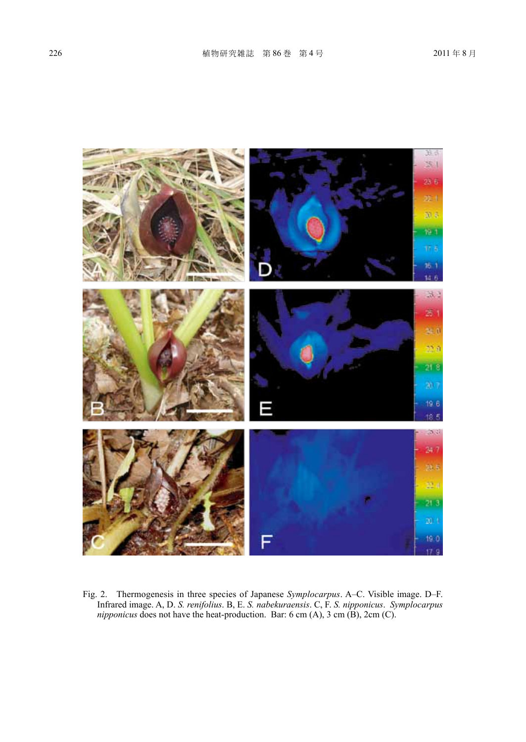

Fig. 2. Thermogenesis in three species of Japanese *Symplocarpus*. A–C. Visible image. D–F. Infrared image. A, D. *S. renifolius*. B, E. *S. nabekuraensis*. C, F. *S. nipponicus*. *Symplocarpus nipponicus* does not have the heat-production. Bar: 6 cm  $(A)$ , 3 cm  $(B)$ , 2 cm  $(C)$ .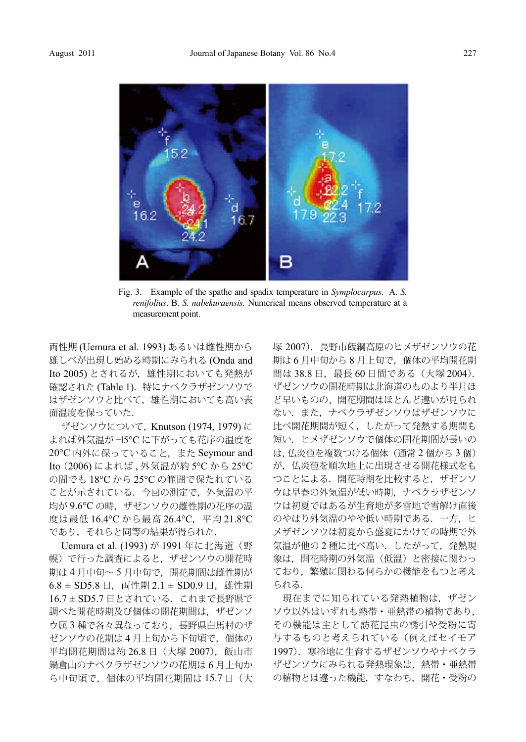

Fig. 3. Example of the spathe and spadix temperature in *Symplocarpus*. A. *S. renifolius*. B. *S. nabekuraensis.* Numerical means observed temperature at a measurement point.

両性期 (Uemura et al. 1993) あるいは雌性期から 雄しべが出現し始める時期にみられる (Onda and Ito 2005) とされるが、雄性期においても発熱が 確認された (Table 1). 特にナベクラザゼンソウで はザゼンソウと比べて,雄性期においても高い表 面温度を保っていた.

ザゼンソウについて, Knutson (1974, 1979) に よれば外気温が −15°C に下がっても花序の温度を 20°C 内外に保っていること,また Seymour and Ito(2006) によれば , 外気温が約 5°C から 25°C の間でも 18°C から 25°C の範囲で保たれている ことが示されている.今回の測定で,外気温の平 均が 9.6℃ の時, ザゼンソウの雌性期の花序の温 度は最低 16.4°C から最高 26.4°C,平均 21.8°C であり,それらと同等の結果が得られた.

Uemura et al. (1993) が 1991 年に北海道(野 幌)で行った調査によると,ザゼンソウの開花時 期は 4 月中旬~ 5 月中旬で,開花期間は雌性期が  $6.8 \pm$  SD5.8 日, 両性期 2.1  $\pm$  SD0.9 日, 雄性期 16.7 ± SD5.7 日とされている. これまで長野県で 調べた開花時期及び個体の開花期間は,ザゼンソ ウ属 3 種で各々異なっており, 長野県白馬村のザ ゼンソウの花期は 4 月上旬から下旬頃で,個体の 平均開花期間は約 26.8 日 (大塚 2007), 飯山市 鍋倉山のナベクラザゼンソウの花期は 6 月上旬か ら中旬頃で,個体の平均開花期間は 15.7 日(大 塚 2007),長野市飯綱高原のヒメザゼンソウの花 期は 6 月中旬から 8 月上旬で,個体の平均開花期 間は 38.8 日, 最長 60 日間である (大塚 2004). ザゼンソウの開花時期は北海道のものより半月ほ ど早いものの、開花期間はほとんど違いが見られ ない.また,ナベクラザゼンソウはザゼンソウに 比べ開花期間が短く,したがって発熱する期間も 短い.ヒメザゼンソウで個体の開花期間が長いの は,仏炎苞を複数つける個体(通常 2 個から 3 個) が、仏炎苞を順次地上に出現させる開花様式をも つことによる.開花時期を比較すると,ザゼンソ ウは早春の外気温が低い時期,ナベクラザゼンソ ウは初夏ではあるが生育地が多雪地で雪解け直後 のやはり外気温のやや低い時期である.一方,ヒ メザゼンソウは初夏から盛夏にかけての時期で外 気温が他の 2 種に比べ高い.したがって,発熱現 象は,開花時期の外気温(低温)と密接に関わっ ており,繁殖に関わる何らかの機能をもつと考え られる.

現在までに知られている発熱植物は、ザゼン ソウ以外はいずれも熱帯・亜熱帯の植物であり, その機能は主として訪花昆虫の誘引や受粉に寄 与するものと考えられている(例えばセイモア 1997). 寒冷地に生育するザゼンソウやナベクラ ザゼンソウにみられる発熱現象は,熱帯・亜熱帯 の植物とは違った機能,すなわち,開花・受粉の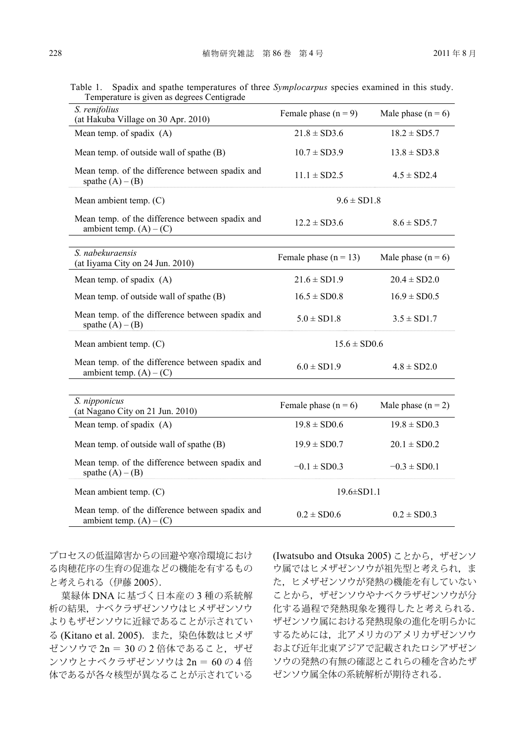| I emperature is given as degrees Centigrade                                  |                         |                      |
|------------------------------------------------------------------------------|-------------------------|----------------------|
| S. renifolius<br>(at Hakuba Village on 30 Apr. 2010)                         | Female phase $(n = 9)$  | Male phase $(n = 6)$ |
| Mean temp. of spadix (A)                                                     | $21.8 \pm SD3.6$        | $18.2 \pm SD5.7$     |
| Mean temp. of outside wall of spathe (B)                                     | $10.7 \pm SD3.9$        | $13.8 \pm SD3.8$     |
| Mean temp. of the difference between spadix and<br>spathe $(A) - (B)$        | $11.1 \pm SD2.5$        | $4.5 \pm SD2.4$      |
| Mean ambient temp. (C)                                                       | $9.6 \pm SD1.8$         |                      |
| Mean temp. of the difference between spadix and<br>ambient temp. $(A) - (C)$ | $12.2 \pm SD3.6$        | $8.6 \pm SD5.7$      |
|                                                                              |                         |                      |
| S. nabekuraensis<br>(at Iiyama City on 24 Jun. 2010)                         | Female phase $(n = 13)$ | Male phase $(n = 6)$ |
| Mean temp. of spadix (A)                                                     | $21.6 \pm SD1.9$        | $20.4 \pm SD2.0$     |
| Mean temp. of outside wall of spathe (B)                                     | $16.5 \pm SD0.8$        | $16.9 \pm SD0.5$     |
| Mean temp. of the difference between spadix and<br>spathe $(A) - (B)$        | $5.0 \pm SD1.8$         | $3.5 \pm SD1.7$      |
| Mean ambient temp. $(C)$                                                     | $15.6 \pm SD0.6$        |                      |
| Mean temp. of the difference between spadix and<br>ambient temp. $(A) - (C)$ | $6.0 \pm SD1.9$         | $4.8 \pm SD2.0$      |
|                                                                              |                         |                      |
| S. nipponicus<br>(at Nagano City on 21 Jun. 2010)                            | Female phase $(n = 6)$  | Male phase $(n = 2)$ |
| Mean temp. of spadix (A)                                                     | $19.8 \pm SD0.6$        | $19.8 \pm SD0.3$     |
| Mean temp. of outside wall of spathe (B)                                     | $19.9 \pm SD0.7$        | $20.1 \pm SD0.2$     |
| Mean temp. of the difference between spadix and<br>spathe $(A) - (B)$        | $-0.1 \pm$ SD0.3        | $-0.3 \pm$ SD0.1     |
| Mean ambient temp. (C)                                                       | $19.6 \pm SD1.1$        |                      |
| Mean temp. of the difference between spadix and<br>ambient temp. $(A) - (C)$ | $0.2 \pm$ SD0.6         | $0.2 \pm$ SD0.3      |
|                                                                              |                         |                      |

Table 1. Spadix and spathe temperatures of three *Symplocarpus* species examined in this study. Temperature is given as degrees Centigrade

プロセスの低温障害からの回避や寒冷環境におけ る肉穂花序の生育の促進などの機能を有するもの と考えられる(伊藤 2005).

葉緑体 DNA に基づく日本産の 3 種の系統解 析の結果,ナベクラザゼンソウはヒメザゼンソウ よりもザゼンソウに近縁であることが示されてい る (Kitano et al. 2005).また,染色体数はヒメザ ゼンソウで 2n = 30 の 2 倍体であること,ザゼ ンソウとナベクラザゼンソウは 2n = 60 の 4 倍 体であるが各々核型が異なることが示されている (Iwatsubo and Otsuka 2005) ことから,ザゼンソ ウ属ではヒメザゼンソウが祖先型と考えられ,ま た,ヒメザゼンソウが発熱の機能を有していない ことから、ザゼンソウやナベクラザゼンソウが分 化する過程で発熱現象を獲得したと考えられる. ザゼンソウ属における発熱現象の進化を明らかに するためには,北アメリカのアメリカザゼンソウ および近年北東アジアで記載されたロシアザゼン ソウの発熱の有無の確認とこれらの種を含めたザ ゼンソウ属全体の系統解析が期待される.